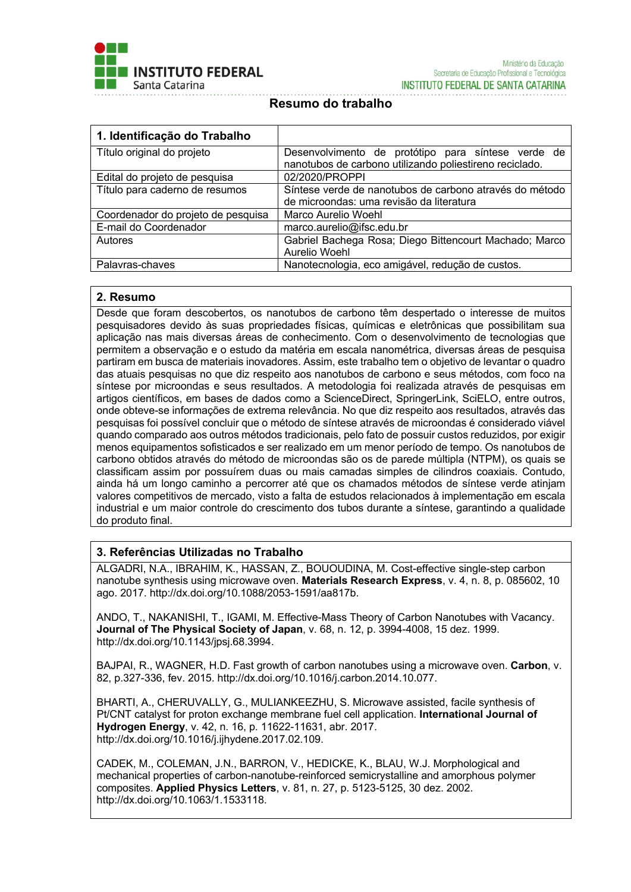

## **Resumo do trabalho**

| 1. Identificação do Trabalho       |                                                         |
|------------------------------------|---------------------------------------------------------|
| Título original do projeto         | Desenvolvimento de protótipo para síntese verde de      |
|                                    | nanotubos de carbono utilizando poliestireno reciclado. |
| Edital do projeto de pesquisa      | 02/2020/PROPPI                                          |
| Título para caderno de resumos     | Síntese verde de nanotubos de carbono através do método |
|                                    | de microondas: uma revisão da literatura                |
| Coordenador do projeto de pesquisa | Marco Aurelio Woehl                                     |
| E-mail do Coordenador              | marco.aurelio@ifsc.edu.br                               |
| Autores                            | Gabriel Bachega Rosa; Diego Bittencourt Machado; Marco  |
|                                    | Aurelio Woehl                                           |
| Palavras-chaves                    | Nanotecnologia, eco amigável, redução de custos.        |

## **2. Resumo**

Desde que foram descobertos, os nanotubos de carbono têm despertado o interesse de muitos pesquisadores devido às suas propriedades físicas, químicas e eletrônicas que possibilitam sua aplicação nas mais diversas áreas de conhecimento. Com o desenvolvimento de tecnologias que permitem a observação e o estudo da matéria em escala nanométrica, diversas áreas de pesquisa partiram em busca de materiais inovadores. Assim, este trabalho tem o objetivo de levantar o quadro das atuais pesquisas no que diz respeito aos nanotubos de carbono e seus métodos, com foco na síntese por microondas e seus resultados. A metodologia foi realizada através de pesquisas em artigos científicos, em bases de dados como a ScienceDirect, SpringerLink, SciELO, entre outros, onde obteve-se informações de extrema relevância. No que diz respeito aos resultados, através das pesquisas foi possível concluir que o método de síntese através de microondas é considerado viável quando comparado aos outros métodos tradicionais, pelo fato de possuir custos reduzidos, por exigir menos equipamentos sofisticados e ser realizado em um menor período de tempo. Os nanotubos de carbono obtidos através do método de microondas são os de parede múltipla (NTPM), os quais se classificam assim por possuírem duas ou mais camadas simples de cilindros coaxiais. Contudo, ainda há um longo caminho a percorrer até que os chamados métodos de síntese verde atinjam valores competitivos de mercado, visto a falta de estudos relacionados à implementação em escala industrial e um maior controle do crescimento dos tubos durante a síntese, garantindo a qualidade do produto final.

## **3. Referências Utilizadas no Trabalho**

ALGADRI, N.A., IBRAHIM, K., HASSAN, Z., BOUOUDINA, M. Cost-effective single-step carbon nanotube synthesis using microwave oven. **Materials Research Express**, v. 4, n. 8, p. 085602, 10 ago. 2017. http://dx.doi.org/10.1088/2053-1591/aa817b.

ANDO, T., NAKANISHI, T., IGAMI, M. Effective-Mass Theory of Carbon Nanotubes with Vacancy. **Journal of The Physical Society of Japan**, v. 68, n. 12, p. 3994-4008, 15 dez. 1999. http://dx.doi.org/10.1143/jpsj.68.3994.

BAJPAI, R., WAGNER, H.D. Fast growth of carbon nanotubes using a microwave oven. **Carbon**, v. 82, p.327-336, fev. 2015. http://dx.doi.org/10.1016/j.carbon.2014.10.077.

BHARTI, A., CHERUVALLY, G., MULIANKEEZHU, S. Microwave assisted, facile synthesis of Pt/CNT catalyst for proton exchange membrane fuel cell application. **International Journal of Hydrogen Energy**, v. 42, n. 16, p. 11622-11631, abr. 2017. http://dx.doi.org/10.1016/j.ijhydene.2017.02.109.

CADEK, M., COLEMAN, J.N., BARRON, V., HEDICKE, K., BLAU, W.J. Morphological and mechanical properties of carbon-nanotube-reinforced semicrystalline and amorphous polymer composites. **Applied Physics Letters**, v. 81, n. 27, p. 5123-5125, 30 dez. 2002. http://dx.doi.org/10.1063/1.1533118.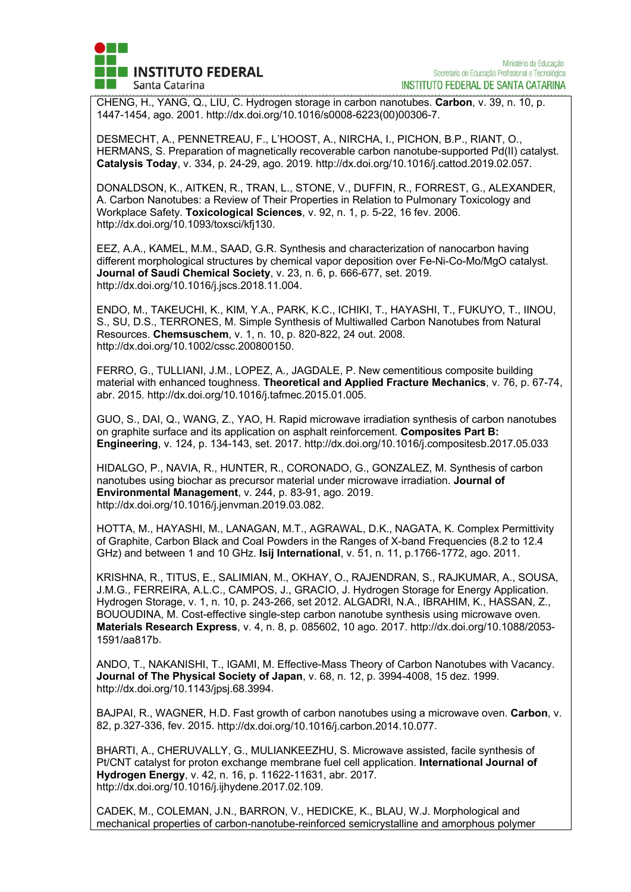

CHENG, H., YANG, Q., LIU, C. Hydrogen storage in carbon nanotubes. **Carbon**, v. 39, n. 10, p. 1447-1454, ago. 2001. http://dx.doi.org/10.1016/s0008-6223(00)00306-7.

DESMECHT, A., PENNETREAU, F., L'HOOST, A., NIRCHA, I., PICHON, B.P., RIANT, O., HERMANS, S. Preparation of magnetically recoverable carbon nanotube-supported Pd(II) catalyst. **Catalysis Today**, v. 334, p. 24-29, ago. 2019. http://dx.doi.org/10.1016/j.cattod.2019.02.057.

DONALDSON, K., AITKEN, R., TRAN, L., STONE, V., DUFFIN, R., FORREST, G., ALEXANDER, A. Carbon Nanotubes: a Review of Their Properties in Relation to Pulmonary Toxicology and Workplace Safety. **Toxicological Sciences**, v. 92, n. 1, p. 5-22, 16 fev. 2006. http://dx.doi.org/10.1093/toxsci/kfj130.

EEZ, A.A., KAMEL, M.M., SAAD, G.R. Synthesis and characterization of nanocarbon having different morphological structures by chemical vapor deposition over Fe-Ni-Co-Mo/MgO catalyst. **Journal of Saudi Chemical Society**, v. 23, n. 6, p. 666-677, set. 2019. http://dx.doi.org/10.1016/j.jscs.2018.11.004.

ENDO, M., TAKEUCHI, K., KIM, Y.A., PARK, K.C., ICHIKI, T., HAYASHI, T., FUKUYO, T., IINOU, S., SU, D.S., TERRONES, M. Simple Synthesis of Multiwalled Carbon Nanotubes from Natural Resources. **Chemsuschem**, v. 1, n. 10, p. 820-822, 24 out. 2008. http://dx.doi.org/10.1002/cssc.200800150.

FERRO, G., TULLIANI, J.M., LOPEZ, A., JAGDALE, P. New cementitious composite building material with enhanced toughness. **Theoretical and Applied Fracture Mechanics**, v. 76, p. 67-74, abr. 2015. http://dx.doi.org/10.1016/j.tafmec.2015.01.005.

GUO, S., DAI, Q., WANG, Z., YAO, H. Rapid microwave irradiation synthesis of carbon nanotubes on graphite surface and its application on asphalt reinforcement. **Composites Part B: Engineering**, v. 124, p. 134-143, set. 2017. http://dx.doi.org/10.1016/j.compositesb.2017.05.033

HIDALGO, P., NAVIA, R., HUNTER, R., CORONADO, G., GONZALEZ, M. Synthesis of carbon nanotubes using biochar as precursor material under microwave irradiation. **Journal of Environmental Management**, v. 244, p. 83-91, ago. 2019. http://dx.doi.org/10.1016/j.jenvman.2019.03.082.

HOTTA, M., HAYASHI, M., LANAGAN, M.T., AGRAWAL, D.K., NAGATA, K. Complex Permittivity of Graphite, Carbon Black and Coal Powders in the Ranges of X-band Frequencies (8.2 to 12.4 GHz) and between 1 and 10 GHz. **Isij International**, v. 51, n. 11, p.1766-1772, ago. 2011.

KRISHNA, R., TITUS, E., SALIMIAN, M., OKHAY, O., RAJENDRAN, S., RAJKUMAR, A., SOUSA, J.M.G., FERREIRA, A.L.C., CAMPOS, J., GRACIO, J. Hydrogen Storage for Energy Application. Hydrogen Storage, v. 1, n. 10, p. 243-266, set 2012. ALGADRI, N.A., IBRAHIM, K., HASSAN, Z., BOUOUDINA, M. Cost-effective single-step carbon nanotube synthesis using microwave oven. **Materials Research Express**, v. 4, n. 8, p. 085602, 10 ago. 2017. http://dx.doi.org/10.1088/2053- 1591/aa817b.

ANDO, T., NAKANISHI, T., IGAMI, M. Effective-Mass Theory of Carbon Nanotubes with Vacancy. **Journal of The Physical Society of Japan**, v. 68, n. 12, p. 3994-4008, 15 dez. 1999. http://dx.doi.org/10.1143/jpsj.68.3994.

BAJPAI, R., WAGNER, H.D. Fast growth of carbon nanotubes using a microwave oven. **Carbon**, v. 82, p.327-336, fev. 2015. http://dx.doi.org/10.1016/j.carbon.2014.10.077.

BHARTI, A., CHERUVALLY, G., MULIANKEEZHU, S. Microwave assisted, facile synthesis of Pt/CNT catalyst for proton exchange membrane fuel cell application. **International Journal of Hydrogen Energy**, v. 42, n. 16, p. 11622-11631, abr. 2017. http://dx.doi.org/10.1016/j.ijhydene.2017.02.109.

CADEK, M., COLEMAN, J.N., BARRON, V., HEDICKE, K., BLAU, W.J. Morphological and mechanical properties of carbon-nanotube-reinforced semicrystalline and amorphous polymer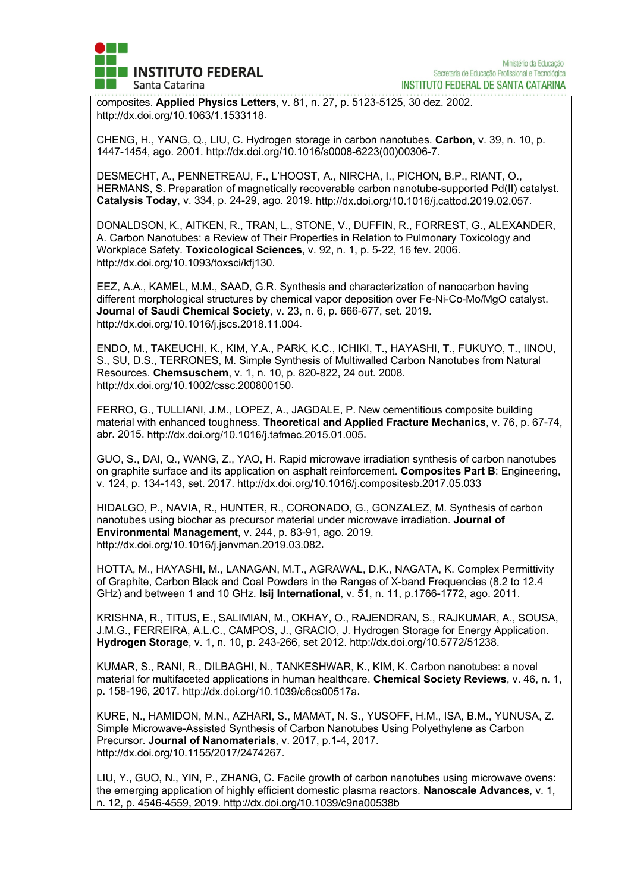

composites. **Applied Physics Letters**, v. 81, n. 27, p. 5123-5125, 30 dez. 2002. http://dx.doi.org/10.1063/1.1533118.

CHENG, H., YANG, Q., LIU, C. Hydrogen storage in carbon nanotubes. **Carbon**, v. 39, n. 10, p. 1447-1454, ago. 2001. http://dx.doi.org/10.1016/s0008-6223(00)00306-7.

DESMECHT, A., PENNETREAU, F., L'HOOST, A., NIRCHA, I., PICHON, B.P., RIANT, O., HERMANS, S. Preparation of magnetically recoverable carbon nanotube-supported Pd(II) catalyst. **Catalysis Today**, v. 334, p. 24-29, ago. 2019. http://dx.doi.org/10.1016/j.cattod.2019.02.057.

DONALDSON, K., AITKEN, R., TRAN, L., STONE, V., DUFFIN, R., FORREST, G., ALEXANDER, A. Carbon Nanotubes: a Review of Their Properties in Relation to Pulmonary Toxicology and Workplace Safety. **Toxicological Sciences**, v. 92, n. 1, p. 5-22, 16 fev. 2006. http://dx.doi.org/10.1093/toxsci/kfj130.

EEZ, A.A., KAMEL, M.M., SAAD, G.R. Synthesis and characterization of nanocarbon having different morphological structures by chemical vapor deposition over Fe-Ni-Co-Mo/MgO catalyst. **Journal of Saudi Chemical Society**, v. 23, n. 6, p. 666-677, set. 2019. http://dx.doi.org/10.1016/j.jscs.2018.11.004.

ENDO, M., TAKEUCHI, K., KIM, Y.A., PARK, K.C., ICHIKI, T., HAYASHI, T., FUKUYO, T., IINOU, S., SU, D.S., TERRONES, M. Simple Synthesis of Multiwalled Carbon Nanotubes from Natural Resources. **Chemsuschem**, v. 1, n. 10, p. 820-822, 24 out. 2008. http://dx.doi.org/10.1002/cssc.200800150.

FERRO, G., TULLIANI, J.M., LOPEZ, A., JAGDALE, P. New cementitious composite building material with enhanced toughness. **Theoretical and Applied Fracture Mechanics**, v. 76, p. 67-74, abr. 2015. http://dx.doi.org/10.1016/j.tafmec.2015.01.005.

GUO, S., DAI, Q., WANG, Z., YAO, H. Rapid microwave irradiation synthesis of carbon nanotubes on graphite surface and its application on asphalt reinforcement. **Composites Part B**: Engineering, v. 124, p. 134-143, set. 2017. http://dx.doi.org/10.1016/j.compositesb.2017.05.033

HIDALGO, P., NAVIA, R., HUNTER, R., CORONADO, G., GONZALEZ, M. Synthesis of carbon nanotubes using biochar as precursor material under microwave irradiation. **Journal of Environmental Management**, v. 244, p. 83-91, ago. 2019. http://dx.doi.org/10.1016/j.jenvman.2019.03.082.

HOTTA, M., HAYASHI, M., LANAGAN, M.T., AGRAWAL, D.K., NAGATA, K. Complex Permittivity of Graphite, Carbon Black and Coal Powders in the Ranges of X-band Frequencies (8.2 to 12.4 GHz) and between 1 and 10 GHz. **Isij International**, v. 51, n. 11, p.1766-1772, ago. 2011.

KRISHNA, R., TITUS, E., SALIMIAN, M., OKHAY, O., RAJENDRAN, S., RAJKUMAR, A., SOUSA, J.M.G., FERREIRA, A.L.C., CAMPOS, J., GRACIO, J. Hydrogen Storage for Energy Application. **Hydrogen Storage**, v. 1, n. 10, p. 243-266, set 2012. http://dx.doi.org/10.5772/51238.

KUMAR, S., RANI, R., DILBAGHI, N., TANKESHWAR, K., KIM, K. Carbon nanotubes: a novel material for multifaceted applications in human healthcare. **Chemical Society Reviews**, v. 46, n. 1, p. 158-196, 2017. http://dx.doi.org/10.1039/c6cs00517a.

KURE, N., HAMIDON, M.N., AZHARI, S., MAMAT, N. S., YUSOFF, H.M., ISA, B.M., YUNUSA, Z. Simple Microwave-Assisted Synthesis of Carbon Nanotubes Using Polyethylene as Carbon Precursor. **Journal of Nanomaterials**, v. 2017, p.1-4, 2017. http://dx.doi.org/10.1155/2017/2474267.

LIU, Y., GUO, N., YIN, P., ZHANG, C. Facile growth of carbon nanotubes using microwave ovens: the emerging application of highly efficient domestic plasma reactors. **Nanoscale Advances**, v. 1, n. 12, p. 4546-4559, 2019. http://dx.doi.org/10.1039/c9na00538b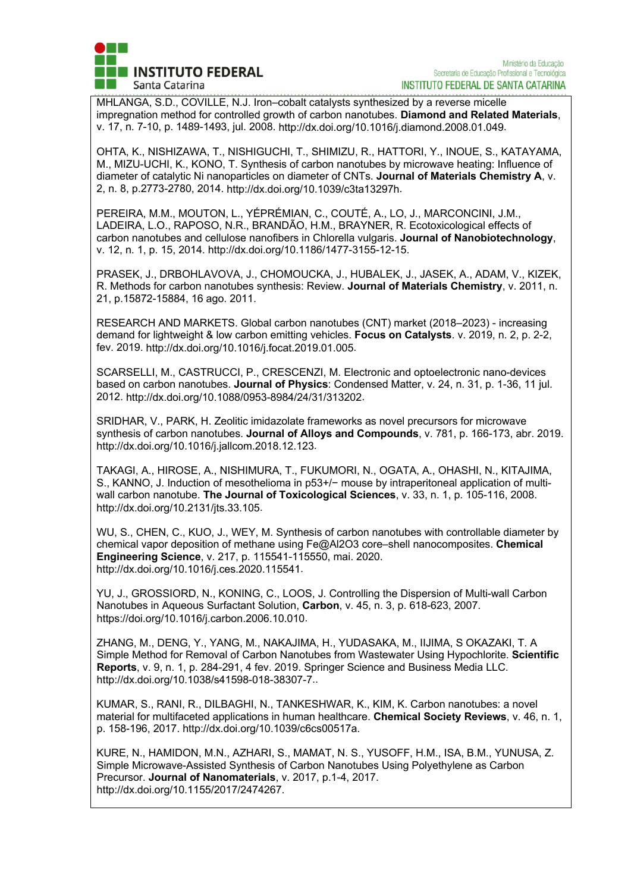

Ministério da Educação Secretaria de Educação Profissional e Tecnológica INSTITUTO FEDERAL DE SANTA CATARINA

MHLANGA, S.D., COVILLE, N.J. Iron–cobalt catalysts synthesized by a reverse micelle impregnation method for controlled growth of carbon nanotubes. **Diamond and Related Materials**, v. 17, n. 7-10, p. 1489-1493, jul. 2008. http://dx.doi.org/10.1016/j.diamond.2008.01.049.

OHTA, K., NISHIZAWA, T., NISHIGUCHI, T., SHIMIZU, R., HATTORI, Y., INOUE, S., KATAYAMA, M., MIZU-UCHI, K., KONO, T. Synthesis of carbon nanotubes by microwave heating: Influence of diameter of catalytic Ni nanoparticles on diameter of CNTs. **Journal of Materials Chemistry A**, v. 2, n. 8, p.2773-2780, 2014. http://dx.doi.org/10.1039/c3ta13297h.

PEREIRA, M.M., MOUTON, L., YÉPRÉMIAN, C., COUTÉ, A., LO, J., MARCONCINI, J.M., LADEIRA, L.O., RAPOSO, N.R., BRANDÃO, H.M., BRAYNER, R. Ecotoxicological effects of carbon nanotubes and cellulose nanofibers in Chlorella vulgaris. **Journal of Nanobiotechnology**, v. 12, n. 1, p. 15, 2014. http://dx.doi.org/10.1186/1477-3155-12-15.

PRASEK, J., DRBOHLAVOVA, J., CHOMOUCKA, J., HUBALEK, J., JASEK, A., ADAM, V., KIZEK, R. Methods for carbon nanotubes synthesis: Review. **Journal of Materials Chemistry**, v. 2011, n. 21, p.15872-15884, 16 ago. 2011.

RESEARCH AND MARKETS. Global carbon nanotubes (CNT) market (2018–2023) - increasing demand for lightweight & low carbon emitting vehicles. **Focus on Catalysts**. v. 2019, n. 2, p. 2-2, fev. 2019. http://dx.doi.org/10.1016/j.focat.2019.01.005.

SCARSELLI, M., CASTRUCCI, P., CRESCENZI, M. Electronic and optoelectronic nano-devices based on carbon nanotubes. **Journal of Physics**: Condensed Matter, v. 24, n. 31, p. 1-36, 11 jul. 2012. http://dx.doi.org/10.1088/0953-8984/24/31/313202.

SRIDHAR, V., PARK, H. Zeolitic imidazolate frameworks as novel precursors for microwave synthesis of carbon nanotubes. **Journal of Alloys and Compounds**, v. 781, p. 166-173, abr. 2019. http://dx.doi.org/10.1016/j.jallcom.2018.12.123.

TAKAGI, A., HIROSE, A., NISHIMURA, T., FUKUMORI, N., OGATA, A., OHASHI, N., KITAJIMA, S., KANNO, J. Induction of mesothelioma in p53+/− mouse by intraperitoneal application of multiwall carbon nanotube. **The Journal of Toxicological Sciences**, v. 33, n. 1, p. 105-116, 2008. http://dx.doi.org/10.2131/jts.33.105.

WU, S., CHEN, C., KUO, J., WEY, M. Synthesis of carbon nanotubes with controllable diameter by chemical vapor deposition of methane using Fe@Al2O3 core–shell nanocomposites. **Chemical Engineering Science**, v. 217, p. 115541-115550, mai. 2020. http://dx.doi.org/10.1016/j.ces.2020.115541.

YU, J., GROSSIORD, N., KONING, C., LOOS, J. Controlling the Dispersion of Multi-wall Carbon Nanotubes in Aqueous Surfactant Solution, **Carbon**, v. 45, n. 3, p. 618-623, 2007. https://doi.org/10.1016/j.carbon.2006.10.010.

ZHANG, M., DENG, Y., YANG, M., NAKAJIMA, H., YUDASAKA, M., IIJIMA, S OKAZAKI, T. A Simple Method for Removal of Carbon Nanotubes from Wastewater Using Hypochlorite. **Scientific Reports**, v. 9, n. 1, p. 284-291, 4 fev. 2019. Springer Science and Business Media LLC. http://dx.doi.org/10.1038/s41598-018-38307-7..

KUMAR, S., RANI, R., DILBAGHI, N., TANKESHWAR, K., KIM, K. Carbon nanotubes: a novel material for multifaceted applications in human healthcare. **Chemical Society Reviews**, v. 46, n. 1, p. 158-196, 2017. http://dx.doi.org/10.1039/c6cs00517a.

KURE, N., HAMIDON, M.N., AZHARI, S., MAMAT, N. S., YUSOFF, H.M., ISA, B.M., YUNUSA, Z. Simple Microwave-Assisted Synthesis of Carbon Nanotubes Using Polyethylene as Carbon Precursor. **Journal of Nanomaterials**, v. 2017, p.1-4, 2017. http://dx.doi.org/10.1155/2017/2474267.